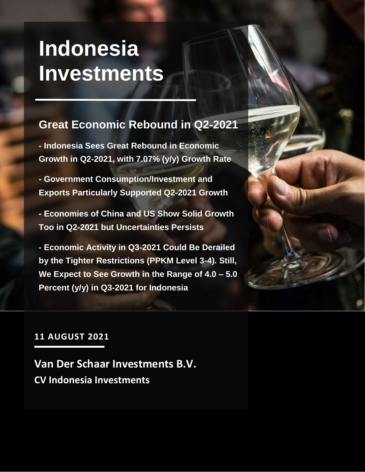## **Indonesia Investments**

#### **Great Economic Rebound in Q2-2021**

**- Indonesia Sees Great Rebound in Economic Growth in Q2-2021, with 7.07% (y/y) Growth Rate**

**- Government Consumption/Investment and Exports Particularly Supported Q2-2021 Growth**

**- Economies of China and US Show Solid Growth Too in Q2-2021 but Uncertainties Persists**

**- Economic Activity in Q3-2021 Could Be Derailed by the Tighter Restrictions (PPKM Level 3-4). Still, We Expect to See Growth in the Range of 4.0 – 5.0 Percent (y/y) in Q3-2021 for Indonesia**



#### **11 AUGUST 2021**

**Van Der Schaar Investments B.V. CV Indonesia Investments**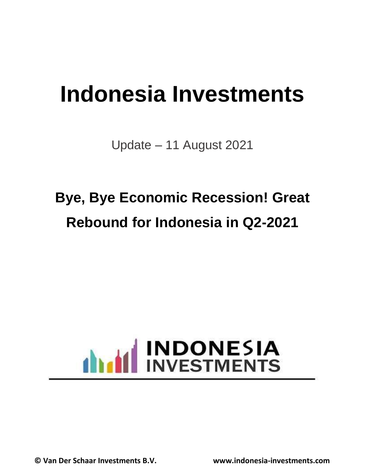## **Indonesia Investments**

Update – 11 August 2021

## **Bye, Bye Economic Recession! Great Rebound for Indonesia in Q2-2021**

## INDONESIA dhadd

**© Van Der Schaar Investments B.V. www.indonesia-investments.com**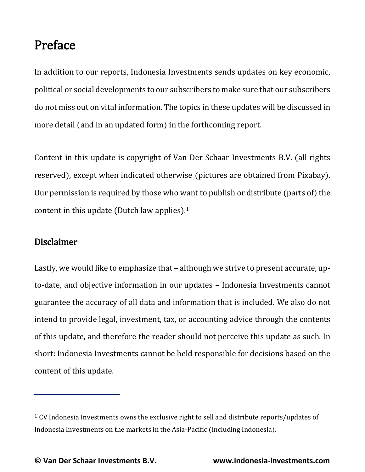#### Preface

In addition to our reports, Indonesia Investments sends updates on key economic, political or social developments to our subscribers to make sure that our subscribers do not miss out on vital information. The topics in these updates will be discussed in more detail (and in an updated form) in the forthcoming report.

Content in this update is copyright of Van Der Schaar Investments B.V. (all rights reserved), except when indicated otherwise (pictures are obtained from Pixabay). Our permission is required by those who want to publish or distribute (parts of) the content in this update (Dutch law applies).<sup>1</sup>

#### Disclaimer

Lastly, we would like to emphasize that – although we strive to present accurate, upto-date, and objective information in our updates – Indonesia Investments cannot guarantee the accuracy of all data and information that is included. We also do not intend to provide legal, investment, tax, or accounting advice through the contents of this update, and therefore the reader should not perceive this update as such. In short: Indonesia Investments cannot be held responsible for decisions based on the content of this update.

 $1$  CV Indonesia Investments owns the exclusive right to sell and distribute reports/updates of Indonesia Investments on the markets in the Asia-Pacific (including Indonesia).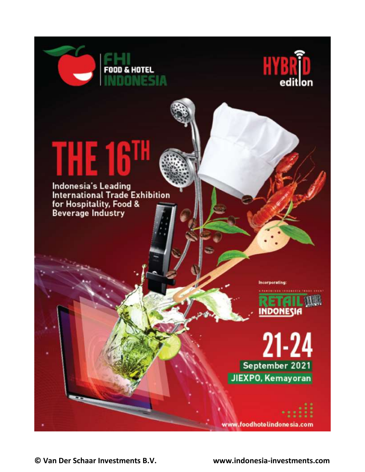



# THE 16<sup>1</sup>

**FOOD & HOTEL** 

Indonesia's Leading **International Trade Exhibition** for Hospitality, Food & **Beverage Industry** 

**Incorporating:** 



 $21 - 24$ September 2021 JIEXPO, Kemayoran

www.foodhotelindonesia.com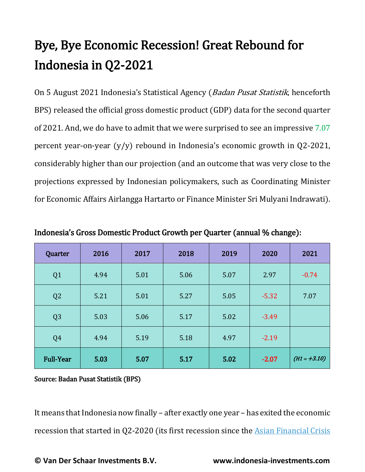### Bye, Bye Economic Recession! Great Rebound for Indonesia in Q2-2021

On 5 August 2021 Indonesia's Statistical Agency (Badan Pusat Statistik, henceforth BPS) released the official gross domestic product (GDP) data for the second quarter of 2021. And, we do have to admit that we were surprised to see an impressive 7.07 percent year-on-year (y/y) rebound in Indonesia's economic growth in Q2-2021, considerably higher than our projection (and an outcome that was very close to the projections expressed by Indonesian policymakers, such as Coordinating Minister for Economic Affairs Airlangga Hartarto or Finance Minister Sri Mulyani Indrawati).

| Quarter          | 2016 | 2017 | 2018 | 2019 | 2020    | 2021           |
|------------------|------|------|------|------|---------|----------------|
| Q <sub>1</sub>   | 4.94 | 5.01 | 5.06 | 5.07 | 2.97    | $-0.74$        |
| Q <sub>2</sub>   | 5.21 | 5.01 | 5.27 | 5.05 | $-5.32$ | 7.07           |
| Q <sub>3</sub>   | 5.03 | 5.06 | 5.17 | 5.02 | $-3.49$ |                |
| Q <sub>4</sub>   | 4.94 | 5.19 | 5.18 | 4.97 | $-2.19$ |                |
| <b>Full-Year</b> | 5.03 | 5.07 | 5.17 | 5.02 | $-2.07$ | $(H1 = +3.10)$ |

Indonesia's Gross Domestic Product Growth per Quarter (annual % change):

Source: Badan Pusat Statistik (BPS)

It means that Indonesia now finally – after exactly one year – has exited the economic recession that started in Q2-2020 (its first recession since the [Asian Financial Crisis](https://www.indonesia-investments.com/culture/economy/asian-financial-crisis/item246)

**© Van Der Schaar Investments B.V. www.indonesia-investments.com**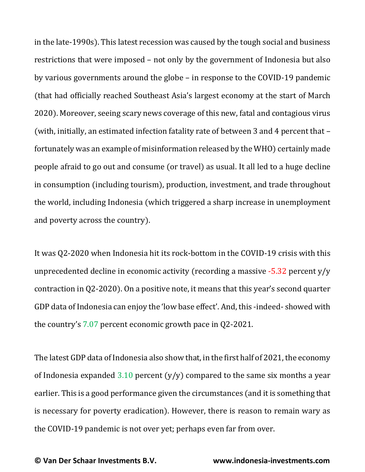in the late-1990s). This latest recession was caused by the tough social and business restrictions that were imposed – not only by the government of Indonesia but also by various governments around the globe – in response to the COVID-19 pandemic (that had officially reached Southeast Asia's largest economy at the start of March 2020). Moreover, seeing scary news coverage of this new, fatal and contagious virus (with, initially, an estimated infection fatality rate of between 3 and 4 percent that – fortunately was an example of misinformation released by the WHO) certainly made people afraid to go out and consume (or travel) as usual. It all led to a huge decline in consumption (including tourism), production, investment, and trade throughout the world, including Indonesia (which triggered a sharp increase in unemployment and poverty across the country).

It was Q2-2020 when Indonesia hit its rock-bottom in the COVID-19 crisis with this unprecedented decline in economic activity (recording a massive  $-5.32$  percent y/y contraction in Q2-2020). On a positive note, it means that this year's second quarter GDP data of Indonesia can enjoy the 'low base effect'. And, this -indeed- showed with the country's 7.07 percent economic growth pace in Q2-2021.

The latest GDP data of Indonesia also show that, in the first half of 2021, the economy of Indonesia expanded  $3.10$  percent (y/y) compared to the same six months a year earlier. This is a good performance given the circumstances (and it is something that is necessary for poverty eradication). However, there is reason to remain wary as the COVID-19 pandemic is not over yet; perhaps even far from over.

**© Van Der Schaar Investments B.V. www.indonesia-investments.com**